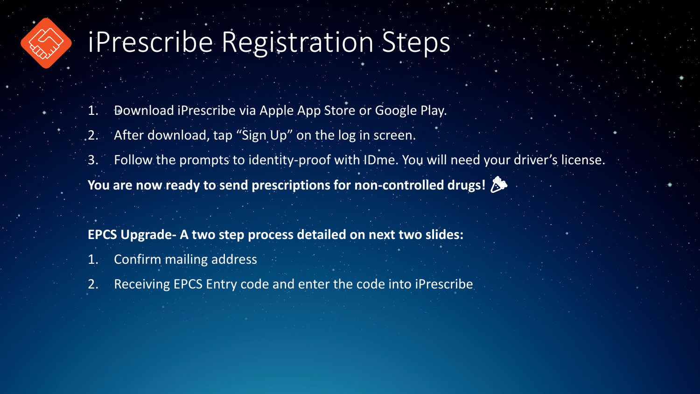## iPrescribe Registration Steps

- 1. Download iPrescribe via Apple App Store or Google Play.
- 2. After download, tap "Sign Up" on the log in screen.
- 3. Follow the prompts to identity-proof with IDme. You will need your driver's license.
- **You are now ready to send prescriptions for non-controlled drugs!**
- **EPCS Upgrade- A two step process detailed on next two slides:**
- 1. Confirm mailing address
- 2. Receiving EPCS Entry code and enter the code into iPrescribe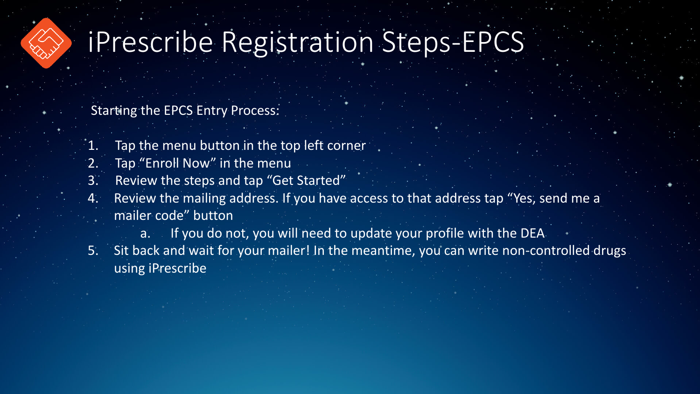

## iPrescribe Registration Steps-EPCS

Starting the EPCS Entry Process:

- 1. Tap the menu button in the top left corner
- 2. Tap "Enroll Now" in the menu
- 3. Review the steps and tap "Get Started"
- 4. Review the mailing address. If you have access to that address tap "Yes, send me a mailer code" button
	- a. If you do not, you will need to update your profile with the DEA
- 5. Sit back and wait for your mailer! In the meantime, you can write non-controlled drugs using iPrescribe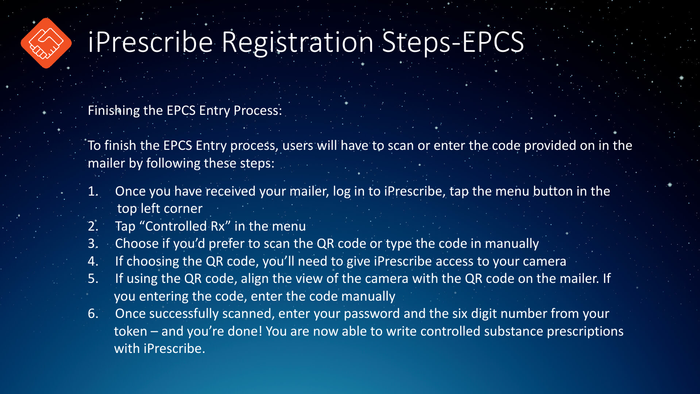

## iPrescribe Registration Steps-EPCS

Finishing the EPCS Entry Process:

To finish the EPCS Entry process, users will have to scan or enter the code provided on in the mailer by following these steps:

- 1. Once you have received your mailer, log in to iPrescribe, tap the menu button in the top left corner
- 2. Tap "Controlled Rx" in the menu
- 3. Choose if you'd prefer to scan the QR code or type the code in manually
- 4. If choosing the QR code, you'll need to give iPrescribe access to your camera
- 5. If using the QR code, align the view of the camera with the QR code on the mailer. If you entering the code, enter the code manually
- 6. Once successfully scanned, enter your password and the six digit number from your token – and you're done! You are now able to write controlled substance prescriptions with iPrescribe.